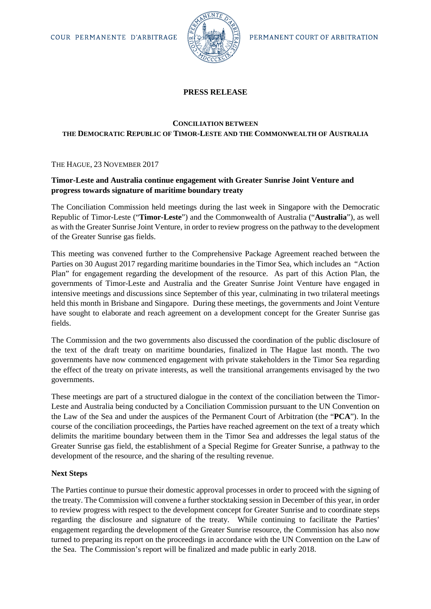

# **PRESS RELEASE**

# **CONCILIATION BETWEEN THE DEMOCRATIC REPUBLIC OF TIMOR-LESTE AND THE COMMONWEALTH OF AUSTRALIA**

## THE HAGUE, 23 NOVEMBER 2017

# **Timor-Leste and Australia continue engagement with Greater Sunrise Joint Venture and progress towards signature of maritime boundary treaty**

The Conciliation Commission held meetings during the last week in Singapore with the Democratic Republic of Timor-Leste ("**Timor-Leste**") and the Commonwealth of Australia ("**Australia**"), as well as with the Greater Sunrise Joint Venture, in order to review progress on the pathway to the development of the Greater Sunrise gas fields.

This meeting was convened further to the Comprehensive Package Agreement reached between the Parties on 30 August 2017 regarding maritime boundaries in the Timor Sea, which includes an "Action Plan" for engagement regarding the development of the resource. As part of this Action Plan, the governments of Timor-Leste and Australia and the Greater Sunrise Joint Venture have engaged in intensive meetings and discussions since September of this year, culminating in two trilateral meetings held this month in Brisbane and Singapore. During these meetings, the governments and Joint Venture have sought to elaborate and reach agreement on a development concept for the Greater Sunrise gas fields.

The Commission and the two governments also discussed the coordination of the public disclosure of the text of the draft treaty on maritime boundaries, finalized in The Hague last month. The two governments have now commenced engagement with private stakeholders in the Timor Sea regarding the effect of the treaty on private interests, as well the transitional arrangements envisaged by the two governments.

These meetings are part of a structured dialogue in the context of the conciliation between the Timor-Leste and Australia being conducted by a Conciliation Commission pursuant to the UN Convention on the Law of the Sea and under the auspices of the Permanent Court of Arbitration (the "**PCA**"). In the course of the conciliation proceedings, the Parties have reached agreement on the text of a treaty which delimits the maritime boundary between them in the Timor Sea and addresses the legal status of the Greater Sunrise gas field, the establishment of a Special Regime for Greater Sunrise, a pathway to the development of the resource, and the sharing of the resulting revenue.

## **Next Steps**

The Parties continue to pursue their domestic approval processes in order to proceed with the signing of the treaty. The Commission will convene a further stocktaking session in December of this year, in order to review progress with respect to the development concept for Greater Sunrise and to coordinate steps regarding the disclosure and signature of the treaty. While continuing to facilitate the Parties' engagement regarding the development of the Greater Sunrise resource, the Commission has also now turned to preparing its report on the proceedings in accordance with the UN Convention on the Law of the Sea. The Commission's report will be finalized and made public in early 2018.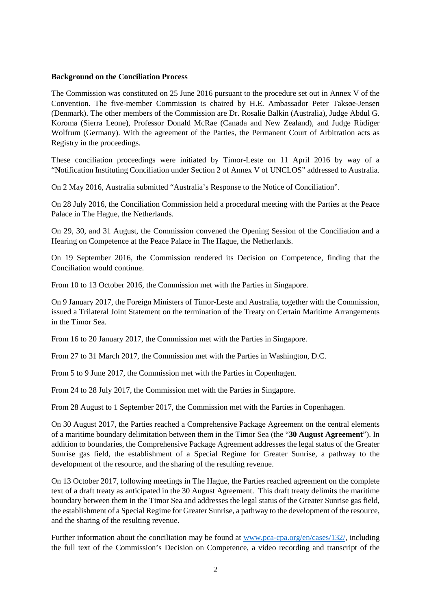### **Background on the Conciliation Process**

The Commission was constituted on 25 June 2016 pursuant to the procedure set out in Annex V of the Convention. The five-member Commission is chaired by H.E. Ambassador Peter Taksøe-Jensen (Denmark). The other members of the Commission are Dr. Rosalie Balkin (Australia), Judge Abdul G. Koroma (Sierra Leone), Professor Donald McRae (Canada and New Zealand), and Judge Rüdiger Wolfrum (Germany). With the agreement of the Parties, the Permanent Court of Arbitration acts as Registry in the proceedings.

These conciliation proceedings were initiated by Timor-Leste on 11 April 2016 by way of a "Notification Instituting Conciliation under Section 2 of Annex V of UNCLOS" addressed to Australia.

On 2 May 2016, Australia submitted "Australia's Response to the Notice of Conciliation".

On 28 July 2016, the Conciliation Commission held a procedural meeting with the Parties at the Peace Palace in The Hague, the Netherlands.

On 29, 30, and 31 August, the Commission convened the Opening Session of the Conciliation and a Hearing on Competence at the Peace Palace in The Hague, the Netherlands.

On 19 September 2016, the Commission rendered its Decision on Competence, finding that the Conciliation would continue.

From 10 to 13 October 2016, the Commission met with the Parties in Singapore.

On 9 January 2017, the Foreign Ministers of Timor-Leste and Australia, together with the Commission, issued a Trilateral Joint Statement on the termination of the Treaty on Certain Maritime Arrangements in the Timor Sea.

From 16 to 20 January 2017, the Commission met with the Parties in Singapore.

From 27 to 31 March 2017, the Commission met with the Parties in Washington, D.C.

From 5 to 9 June 2017, the Commission met with the Parties in Copenhagen.

From 24 to 28 July 2017, the Commission met with the Parties in Singapore.

From 28 August to 1 September 2017, the Commission met with the Parties in Copenhagen.

On 30 August 2017, the Parties reached a Comprehensive Package Agreement on the central elements of a maritime boundary delimitation between them in the Timor Sea (the "**30 August Agreement**"). In addition to boundaries, the Comprehensive Package Agreement addresses the legal status of the Greater Sunrise gas field, the establishment of a Special Regime for Greater Sunrise, a pathway to the development of the resource, and the sharing of the resulting revenue.

On 13 October 2017, following meetings in The Hague, the Parties reached agreement on the complete text of a draft treaty as anticipated in the 30 August Agreement. This draft treaty delimits the maritime boundary between them in the Timor Sea and addresses the legal status of the Greater Sunrise gas field, the establishment of a Special Regime for Greater Sunrise, a pathway to the development of the resource, and the sharing of the resulting revenue.

Further information about the conciliation may be found at [www.pca-cpa.org/en/cases/132/,](http://www.pca-cpa.org/en/cases/132/) including the full text of the Commission's Decision on Competence, a video recording and transcript of the